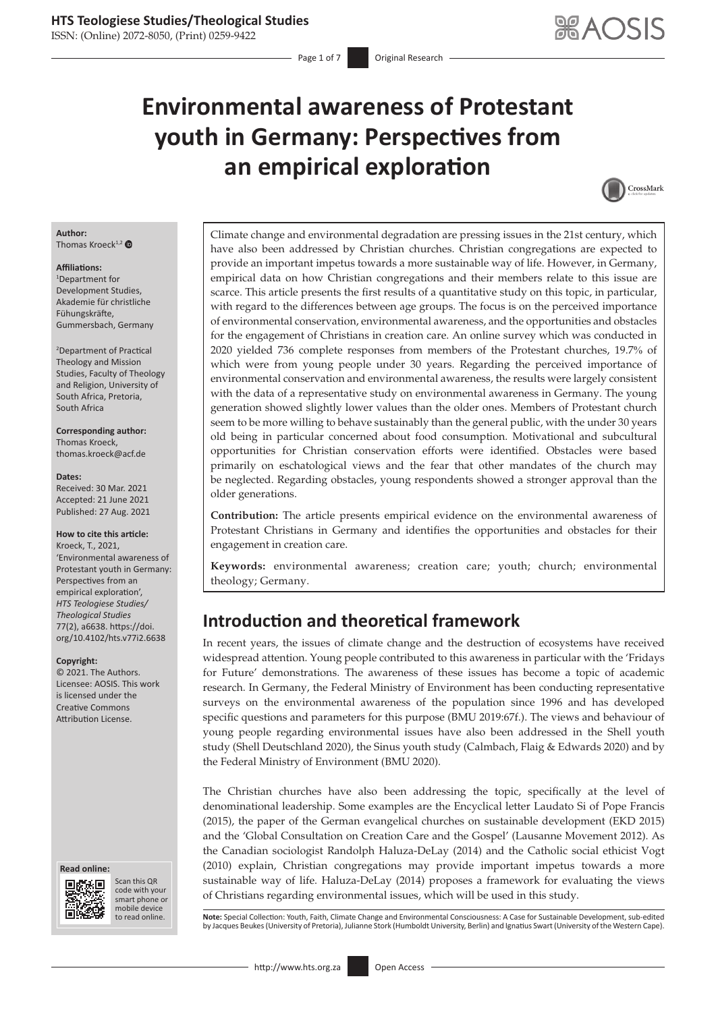# **Environmental awareness of Protestant youth in Germany: Perspectives from an empirical exploration**



#### **Author:** Thomas Kroeck<sup>1,[2](https://orcid.org/0000-0003-1560-8951)</sup> $\bullet$

#### **Affiliations:**

1 Department for Development Studies, Akademie für christliche Fühungskräfte, Gummersbach, Germany

2 Department of Practical Theology and Mission Studies, Faculty of Theology and Religion, University of South Africa, Pretoria, South Africa

**Corresponding author:** Thomas Kroeck, [thomas.kroeck@acf.de](mailto:thomas.kroeck@acf.de)

#### **Dates:**

Received: 30 Mar. 2021 Accepted: 21 June 2021 Published: 27 Aug. 2021

#### **How to cite this article:**

Kroeck, T., 2021, 'Environmental awareness of Protestant youth in Germany: Perspectives from an empirical exploration', *HTS Teologiese Studies/ Theological Studies* 77(2), a6638. [https://doi.](https://doi.org/10.4102/hts.v77i2.6638) [org/10.4102/hts.v77i2.6638](https://doi.org/10.4102/hts.v77i2.6638)

#### **Copyright:**

© 2021. The Authors. Licensee: AOSIS. This work is licensed under the Creative Commons Attribution License.

#### **Read online: Read online:**



Scan this QR code with your Scan this QR<br>code with your<br>smart phone or<br>mobile device mobile device to read online.

Climate change and environmental degradation are pressing issues in the 21st century, which have also been addressed by Christian churches. Christian congregations are expected to provide an important impetus towards a more sustainable way of life. However, in Germany, empirical data on how Christian congregations and their members relate to this issue are scarce. This article presents the first results of a quantitative study on this topic, in particular, with regard to the differences between age groups. The focus is on the perceived importance of environmental conservation, environmental awareness, and the opportunities and obstacles for the engagement of Christians in creation care. An online survey which was conducted in 2020 yielded 736 complete responses from members of the Protestant churches, 19.7% of which were from young people under 30 years. Regarding the perceived importance of environmental conservation and environmental awareness, the results were largely consistent with the data of a representative study on environmental awareness in Germany. The young generation showed slightly lower values than the older ones. Members of Protestant church seem to be more willing to behave sustainably than the general public, with the under 30 years old being in particular concerned about food consumption. Motivational and subcultural opportunities for Christian conservation efforts were identified. Obstacles were based primarily on eschatological views and the fear that other mandates of the church may be neglected. Regarding obstacles, young respondents showed a stronger approval than the older generations.

**Contribution:** The article presents empirical evidence on the environmental awareness of Protestant Christians in Germany and identifies the opportunities and obstacles for their engagement in creation care.

**Keywords:** environmental awareness; creation care; youth; church; environmental theology; Germany.

# **Introduction and theoretical framework**

In recent years, the issues of climate change and the destruction of ecosystems have received widespread attention. Young people contributed to this awareness in particular with the 'Fridays for Future' demonstrations. The awareness of these issues has become a topic of academic research. In Germany, the Federal Ministry of Environment has been conducting representative surveys on the environmental awareness of the population since 1996 and has developed specific questions and parameters for this purpose (BMU 2019:67f.). The views and behaviour of young people regarding environmental issues have also been addressed in the Shell youth study (Shell Deutschland 2020), the Sinus youth study (Calmbach, Flaig & Edwards 2020) and by the Federal Ministry of Environment (BMU 2020).

The Christian churches have also been addressing the topic, specifically at the level of denominational leadership. Some examples are the Encyclical letter Laudato Si of Pope Francis (2015), the paper of the German evangelical churches on sustainable development (EKD 2015) and the 'Global Consultation on Creation Care and the Gospel' (Lausanne Movement 2012). As the Canadian sociologist Randolph Haluza-DeLay (2014) and the Catholic social ethicist Vogt (2010) explain, Christian congregations may provide important impetus towards a more sustainable way of life. Haluza-DeLay (2014) proposes a framework for evaluating the views of Christians regarding environmental issues, which will be used in this study.

Note: Special Collection: Youth, Faith, Climate Change and Environmental Consciousness: A Case for Sustainable Development, sub-edited by Jacques Beukes (University of Pretoria), Julianne Stork (Humboldt University, Berlin) and Ignatius Swart (University of the Western Cape).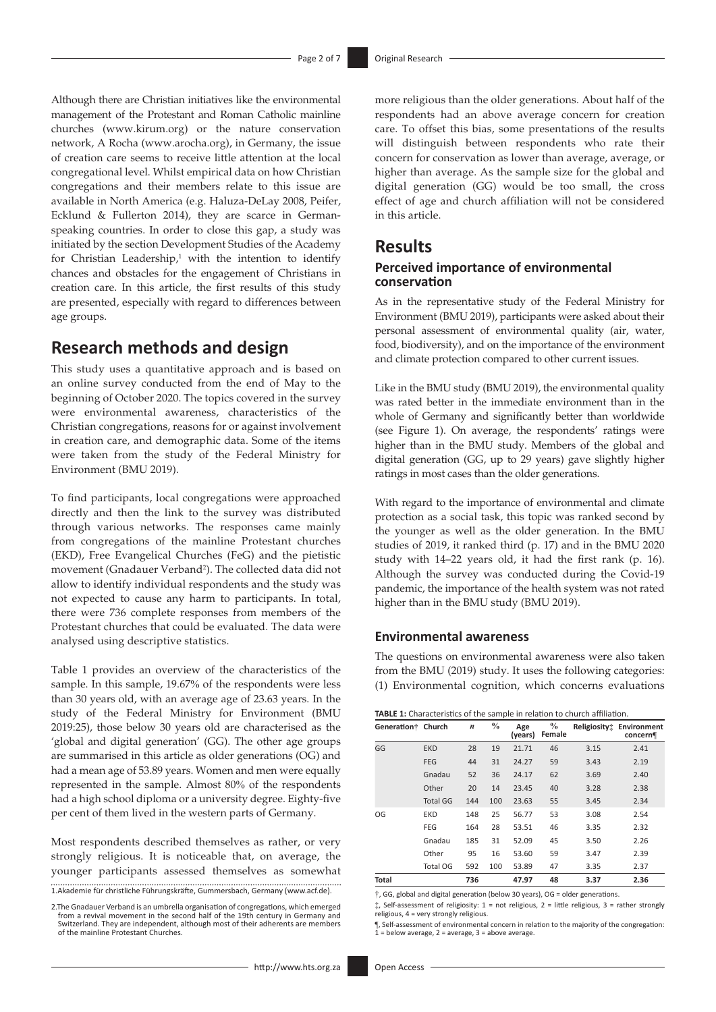Although there are Christian initiatives like the environmental management of the Protestant and Roman Catholic mainline churches [\(www.kirum.org](www.kirum.org)) or the nature conservation network, A Rocha ([www.arocha.org\)](www.arocha.org), in Germany, the issue of creation care seems to receive little attention at the local congregational level. Whilst empirical data on how Christian congregations and their members relate to this issue are available in North America (e.g. Haluza-DeLay 2008, Peifer, Ecklund & Fullerton 2014), they are scarce in Germanspeaking countries. In order to close this gap, a study was initiated by the section Development Studies of the Academy for Christian Leadership, $1$  with the intention to identify chances and obstacles for the engagement of Christians in creation care. In this article, the first results of this study are presented, especially with regard to differences between age groups.

# **Research methods and design**

This study uses a quantitative approach and is based on an online survey conducted from the end of May to the beginning of October 2020. The topics covered in the survey were environmental awareness, characteristics of the Christian congregations, reasons for or against involvement in creation care, and demographic data. Some of the items were taken from the study of the Federal Ministry for Environment (BMU 2019).

To find participants, local congregations were approached directly and then the link to the survey was distributed through various networks. The responses came mainly from congregations of the mainline Protestant churches (EKD), Free Evangelical Churches (FeG) and the pietistic movement (Gnadauer Verband<sup>2</sup>). The collected data did not allow to identify individual respondents and the study was not expected to cause any harm to participants. In total, there were 736 complete responses from members of the Protestant churches that could be evaluated. The data were analysed using descriptive statistics.

Table 1 provides an overview of the characteristics of the sample. In this sample, 19.67% of the respondents were less than 30 years old, with an average age of 23.63 years. In the study of the Federal Ministry for Environment (BMU 2019:25), those below 30 years old are characterised as the 'global and digital generation' (GG). The other age groups are summarised in this article as older generations (OG) and had a mean age of 53.89 years. Women and men were equally represented in the sample. Almost 80% of the respondents had a high school diploma or a university degree. Eighty-five per cent of them lived in the western parts of Germany.

Most respondents described themselves as rather, or very strongly religious. It is noticeable that, on average, the younger participants assessed themselves as somewhat 1.Akademie für christliche Führungskräfte, Gummersbach, Germany ([www.acf.de](http://www.acf.de)).

2.The Gnadauer Verband is an umbrella organisation of congregations, which emerged from a revival movement in the second half of the 19th century in Germany and Switzerland. They are independent, although most of their adherents are members of the mainline Protestant Churches.

more religious than the older generations. About half of the respondents had an above average concern for creation care. To offset this bias, some presentations of the results will distinguish between respondents who rate their concern for conservation as lower than average, average, or higher than average. As the sample size for the global and digital generation (GG) would be too small, the cross effect of age and church affiliation will not be considered in this article.

### **Results**

#### **Perceived importance of environmental conservation**

As in the representative study of the Federal Ministry for Environment (BMU 2019), participants were asked about their personal assessment of environmental quality (air, water, food, biodiversity), and on the importance of the environment and climate protection compared to other current issues.

Like in the BMU study (BMU 2019), the environmental quality was rated better in the immediate environment than in the whole of Germany and significantly better than worldwide (see Figure 1). On average, the respondents' ratings were higher than in the BMU study. Members of the global and digital generation (GG, up to 29 years) gave slightly higher ratings in most cases than the older generations.

With regard to the importance of environmental and climate protection as a social task, this topic was ranked second by the younger as well as the older generation. In the BMU studies of 2019, it ranked third (p. 17) and in the BMU 2020 study with 14–22 years old, it had the first rank (p. 16). Although the survey was conducted during the Covid-19 pandemic, the importance of the health system was not rated higher than in the BMU study (BMU 2019).

#### **Environmental awareness**

The questions on environmental awareness were also taken from the BMU (2019) study. It uses the following categories: (1) Environmental cognition, which concerns evaluations

| TABLE 1: Characteristics of the sample in relation to church affiliation. |  |  |  |
|---------------------------------------------------------------------------|--|--|--|
|                                                                           |  |  |  |

| Generation†  | Church          | $\boldsymbol{n}$ | $\frac{0}{0}$ | Age<br>(years) | $\%$<br>Female | Religiosity: | Environment<br>concern¶ |
|--------------|-----------------|------------------|---------------|----------------|----------------|--------------|-------------------------|
| GG           | <b>EKD</b>      | 28               | 19            | 21.71          | 46             | 3.15         | 2.41                    |
|              | <b>FEG</b>      | 44               | 31            | 24.27          | 59             | 3.43         | 2.19                    |
|              | Gnadau          | 52               | 36            | 24.17          | 62             | 3.69         | 2.40                    |
|              | Other           | 20               | 14            | 23.45          | 40             | 3.28         | 2.38                    |
|              | <b>Total GG</b> | 144              | 100           | 23.63          | 55             | 3.45         | 2.34                    |
| OG           | <b>EKD</b>      | 148              | 25            | 56.77          | 53             | 3.08         | 2.54                    |
|              | FEG             | 164              | 28            | 53.51          | 46             | 3.35         | 2.32                    |
|              | Gnadau          | 185              | 31            | 52.09          | 45             | 3.50         | 2.26                    |
|              | Other           | 95               | 16            | 53.60          | 59             | 3.47         | 2.39                    |
|              | Total OG        | 592              | 100           | 53.89          | 47             | 3.35         | 2.37                    |
| <b>Total</b> |                 | 736              |               | 47.97          | 48             | 3.37         | 2.36                    |

†, GG, global and digital generation (below 30 years), OG = older generations.

‡, Self-assessment of religiosity: 1 = not religious, 2 = little religious, 3 = rather strongly religious, 4 = very strongly religious.

¶, Self-assessment of environmental concern in relation to the majority of the congregation:  $1 =$  below average,  $2 =$  average,  $3 =$  above average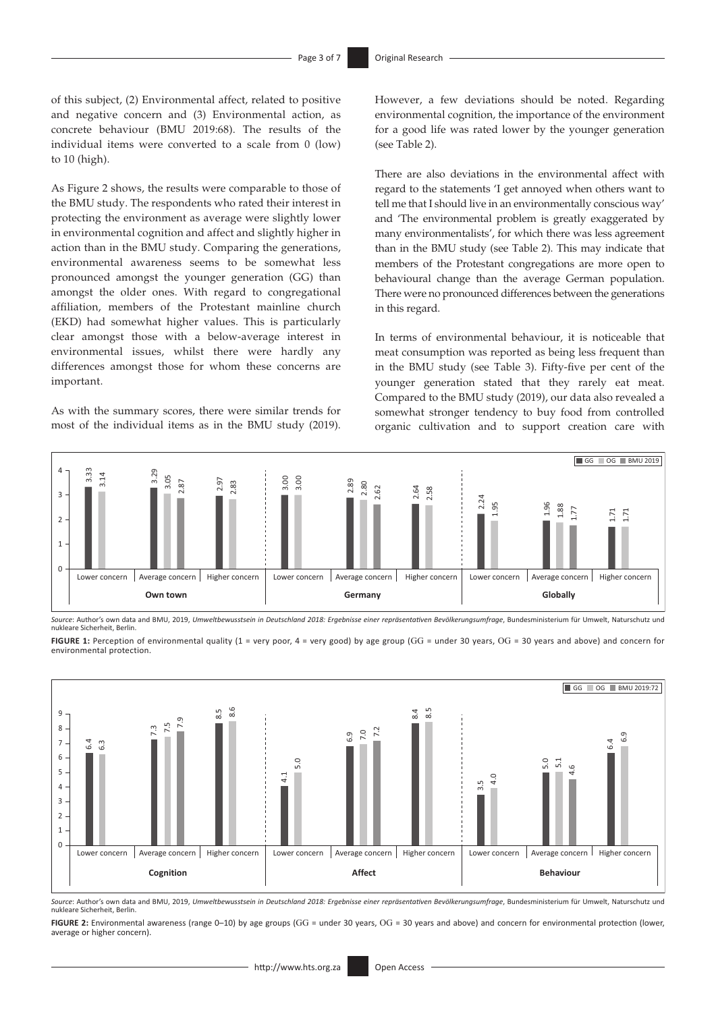of this subject, (2) Environmental affect, related to positive and negative concern and (3) Environmental action, as concrete behaviour (BMU 2019:68). The results of the individual items were converted to a scale from 0 (low) to 10 (high).

As Figure 2 shows, the results were comparable to those of the BMU study. The respondents who rated their interest in protecting the environment as average were slightly lower in environmental cognition and affect and slightly higher in action than in the BMU study. Comparing the generations, environmental awareness seems to be somewhat less pronounced amongst the younger generation (GG) than amongst the older ones. With regard to congregational affiliation, members of the Protestant mainline church (EKD) had somewhat higher values. This is particularly clear amongst those with a below-average interest in environmental issues, whilst there were hardly any differences amongst those for whom these concerns are important.

As with the summary scores, there were similar trends for most of the individual items as in the BMU study (2019).

However, a few deviations should be noted. Regarding environmental cognition, the importance of the environment for a good life was rated lower by the younger generation (see Table 2).

There are also deviations in the environmental affect with regard to the statements 'I get annoyed when others want to tell me that I should live in an environmentally conscious way' and 'The environmental problem is greatly exaggerated by many environmentalists', for which there was less agreement than in the BMU study (see Table 2). This may indicate that members of the Protestant congregations are more open to behavioural change than the average German population. There were no pronounced differences between the generations in this regard.

In terms of environmental behaviour, it is noticeable that meat consumption was reported as being less frequent than in the BMU study (see Table 3). Fifty-five per cent of the younger generation stated that they rarely eat meat. Compared to the BMU study (2019), our data also revealed a somewhat stronger tendency to buy food from controlled organic cultivation and to support creation care with



*Source*: Author's own data and BMU, 2019, *Umweltbewusstsein in Deutschland 2018: Ergebnisse einer repräsentativen Bevölkerungsumfrage*, Bundesministerium für Umwelt, Naturschutz und nukleare Sicherheit, Berlin.

**FIGURE 1:** Perception of environmental quality (1 = very poor, 4 = very good) by age group (GG = under 30 years, OG = 30 years and above) and concern for environmental protection.



*Source*: Author's own data and BMU, 2019, *Umweltbewusstsein in Deutschland 2018: Ergebnisse einer repräsentativen Bevölkerungsumfrage*, Bundesministerium für Umwelt, Naturschutz und nukleare Sicherheit, Berlin.

FIGURE 2: Environmental awareness (range 0–10) by age groups (GG = under 30 years, OG = 30 years and above) and concern for environmental protection (lower, average or higher concern).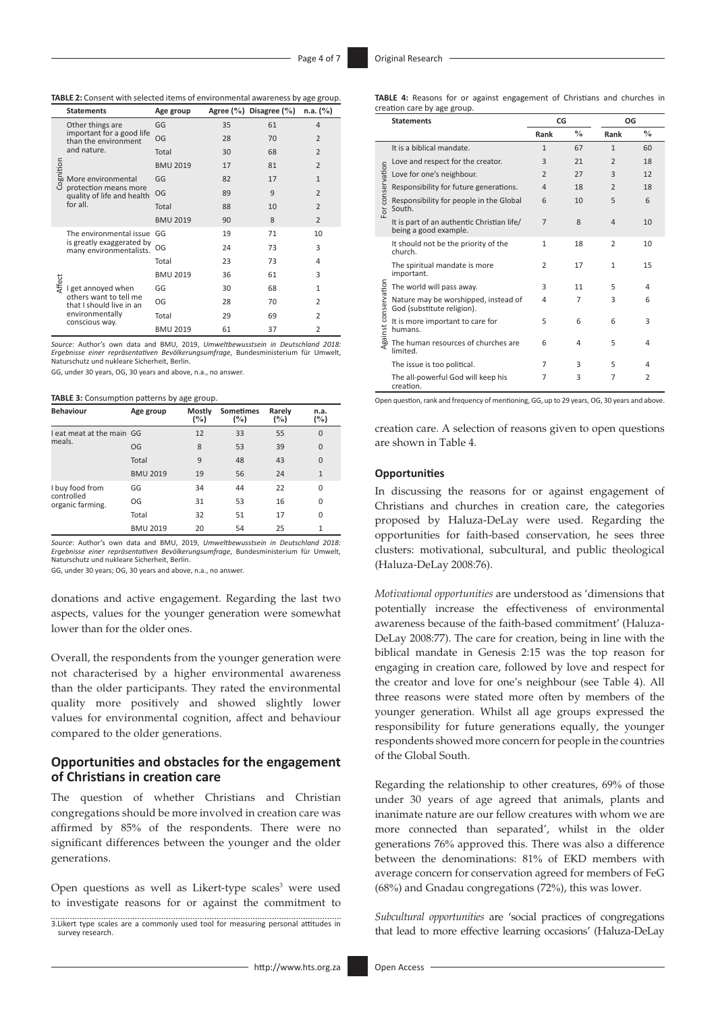**TABLE 2:** Consent with selected items of environmental awareness by age group.

|           | <b>Statements</b>                                                                                             | Age group       |    | Agree (%) Disagree (%) | n.a. (%)       |
|-----------|---------------------------------------------------------------------------------------------------------------|-----------------|----|------------------------|----------------|
|           | Other things are<br>important for a good life<br>than the environment<br>and nature.                          | GG              | 35 | 61                     | $\overline{4}$ |
|           |                                                                                                               | OG              | 28 | 70                     | $\overline{2}$ |
|           |                                                                                                               | Total           | 30 | 68                     | $\overline{2}$ |
|           | More environmental<br>protection means more<br>quality of life and health<br>for all.                         | <b>BMU 2019</b> | 17 | 81                     | $\overline{2}$ |
| Cognition |                                                                                                               | GG              | 82 | 17                     | $\mathbf{1}$   |
|           |                                                                                                               | OG              | 89 | 9                      | $\overline{2}$ |
|           |                                                                                                               | Total           | 88 | 10                     | $\overline{2}$ |
|           |                                                                                                               | <b>BMU 2019</b> | 90 | 8                      | $\overline{2}$ |
|           | The environmental issue<br>is greatly exaggerated by<br>many environmentalists.                               | GG              | 19 | 71                     | 10             |
|           |                                                                                                               | OG              | 24 | 73                     | 3              |
|           |                                                                                                               | Total           | 23 | 73                     | 4              |
| Affect    | I get annoyed when<br>others want to tell me<br>that I should live in an<br>environmentally<br>conscious way. | <b>BMU 2019</b> | 36 | 61                     | 3              |
|           |                                                                                                               | GG              | 30 | 68                     | $\mathbf{1}$   |
|           |                                                                                                               | OG              | 28 | 70                     | $\overline{2}$ |
|           |                                                                                                               | Total           | 29 | 69                     | $\overline{2}$ |
|           |                                                                                                               | <b>BMU 2019</b> | 61 | 37                     | $\overline{2}$ |

*Source*: Author's own data and BMU, 2019, *Umweltbewusstsein in Deutschland 2018: Ergebnisse einer repräsentativen Bevölkerungsumfrage*, Bundesministerium für Umwelt, Naturschutz und nukleare Sicherheit, Berlin.

GG, under 30 years, OG, 30 years and above, n.a., no answer.

**TABLE 3:** Consumption patterns by age group.

| <b>Behaviour</b>               | Age group       | Mostly<br>(%) | <b>Sometimes</b><br>(%) | Rarely<br>(%) | n.a.<br>(%)    |
|--------------------------------|-----------------|---------------|-------------------------|---------------|----------------|
| I eat meat at the main GG      |                 | 12            | 33                      | 55            | 0              |
| meals.                         | OG              | 8             | 53                      | 39            | $\overline{0}$ |
|                                | Total           | 9             | 48                      | 43            | $\overline{0}$ |
|                                | <b>BMU 2019</b> | 19            | 56                      | 24            | $\mathbf{1}$   |
| I buy food from                | GG              | 34            | 44                      | 22            | 0              |
| controlled<br>organic farming. | OG              | 31            | 53                      | 16            | 0              |
|                                | Total           | 32            | 51                      | 17            | 0              |
|                                | <b>BMU 2019</b> | 20            | 54                      | 25            | 1              |

*Source*: Author's own data and BMU, 2019, *Umweltbewusstsein in Deutschland 2018: Ergebnisse einer repräsentativen Bevölkerungsumfrage*, Bundesministerium für Umwelt, Naturschutz und nukleare Sicherheit, Berlin.

GG, under 30 years; OG, 30 years and above, n.a., no answer.

donations and active engagement. Regarding the last two aspects, values for the younger generation were somewhat lower than for the older ones.

Overall, the respondents from the younger generation were not characterised by a higher environmental awareness than the older participants. They rated the environmental quality more positively and showed slightly lower values for environmental cognition, affect and behaviour compared to the older generations.

#### **Opportunities and obstacles for the engagement of Christians in creation care**

The question of whether Christians and Christian congregations should be more involved in creation care was affirmed by 85% of the respondents. There were no significant differences between the younger and the older generations.

Open questions as well as Likert-type scales<sup>3</sup> were used to investigate reasons for or against the commitment to

3.Likert type scales are a commonly used tool for measuring personal attitudes in survey research.

|                      | <b>Statements</b>                                                   | CG             |               | OG             |                |
|----------------------|---------------------------------------------------------------------|----------------|---------------|----------------|----------------|
|                      |                                                                     | Rank           | $\frac{0}{0}$ | Rank           | $\frac{0}{0}$  |
|                      | It is a biblical mandate.                                           | $\mathbf{1}$   | 67            | $\mathbf{1}$   | 60             |
|                      | Love and respect for the creator.                                   | 3              | 21            | $\overline{2}$ | 18             |
| For conservation     | Love for one's neighbour.                                           | $\overline{2}$ | 27            | 3              | 12             |
|                      | Responsibility for future generations.                              | 4              | 18            | $\mathcal{P}$  | 18             |
|                      | Responsibility for people in the Global<br>South.                   | 6              | 10            | 5              | 6              |
|                      | It is part of an authentic Christian life/<br>being a good example. | $\overline{7}$ | 8             | $\overline{4}$ | 10             |
| Against conservation | It should not be the priority of the<br>church.                     | $\mathbf{1}$   | 18            | $\overline{2}$ | 10             |
|                      | The spiritual mandate is more<br>important.                         | $\overline{2}$ | 17            | $\mathbf{1}$   | 15             |
|                      | The world will pass away.                                           | 3              | 11            | 5              | 4              |
|                      | Nature may be worshipped, instead of<br>God (substitute religion).  | 4              | 7             | 3              | 6              |
|                      | It is more important to care for<br>humans.                         | 5              | 6             | 6              | 3              |
|                      | The human resources of churches are<br>limited.                     | 6              | 4             | 5              | 4              |
|                      | The issue is too political.                                         | 7              | 3             | 5              | 4              |
|                      | The all-powerful God will keep his<br>creation.                     | 7              | 3             | 7              | $\overline{2}$ |

Open question, rank and frequency of mentioning, GG, up to 29 years, OG, 30 years and above.

creation care. A selection of reasons given to open questions are shown in Table 4.

#### **Opportunities**

In discussing the reasons for or against engagement of Christians and churches in creation care, the categories proposed by Haluza-DeLay were used. Regarding the opportunities for faith-based conservation, he sees three clusters: motivational, subcultural, and public theological (Haluza-DeLay 2008:76).

*Motivational opportunities* are understood as 'dimensions that potentially increase the effectiveness of environmental awareness because of the faith-based commitment' (Haluza-DeLay 2008:77). The care for creation, being in line with the biblical mandate in Genesis 2:15 was the top reason for engaging in creation care, followed by love and respect for the creator and love for one's neighbour (see Table 4). All three reasons were stated more often by members of the younger generation. Whilst all age groups expressed the responsibility for future generations equally, the younger respondents showed more concern for people in the countries of the Global South.

Regarding the relationship to other creatures, 69% of those under 30 years of age agreed that animals, plants and inanimate nature are our fellow creatures with whom we are more connected than separated', whilst in the older generations 76% approved this. There was also a difference between the denominations: 81% of EKD members with average concern for conservation agreed for members of FeG (68%) and Gnadau congregations (72%), this was lower.

*Subcultural opportunities* are 'social practices of congregations that lead to more effective learning occasions' (Haluza-DeLay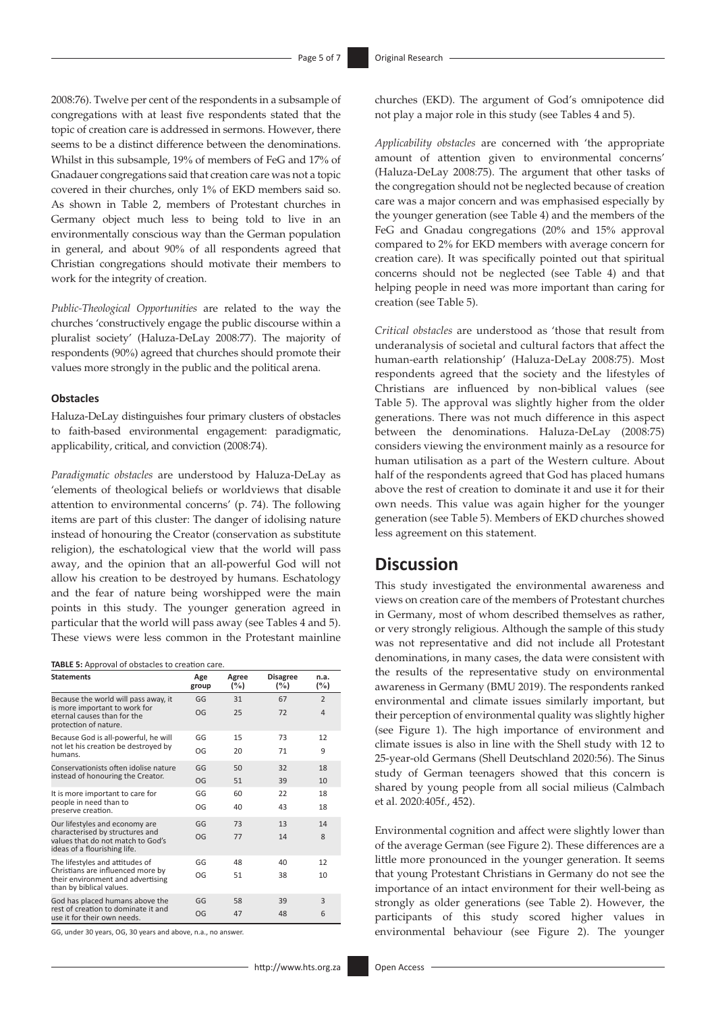2008:76). Twelve per cent of the respondents in a subsample of congregations with at least five respondents stated that the topic of creation care is addressed in sermons. However, there seems to be a distinct difference between the denominations. Whilst in this subsample, 19% of members of FeG and 17% of Gnadauer congregations said that creation care was not a topic covered in their churches, only 1% of EKD members said so. As shown in Table 2, members of Protestant churches in Germany object much less to being told to live in an environmentally conscious way than the German population in general, and about 90% of all respondents agreed that Christian congregations should motivate their members to work for the integrity of creation.

*Public-Theological Opportunities* are related to the way the churches 'constructively engage the public discourse within a pluralist society' (Haluza-DeLay 2008:77). The majority of respondents (90%) agreed that churches should promote their values more strongly in the public and the political arena.

#### **Obstacles**

Haluza-DeLay distinguishes four primary clusters of obstacles to faith-based environmental engagement: paradigmatic, applicability, critical, and conviction (2008:74).

*Paradigmatic obstacles* are understood by Haluza-DeLay as 'elements of theological beliefs or worldviews that disable attention to environmental concerns' (p. 74). The following items are part of this cluster: The danger of idolising nature instead of honouring the Creator (conservation as substitute religion), the eschatological view that the world will pass away, and the opinion that an all-powerful God will not allow his creation to be destroyed by humans. Eschatology and the fear of nature being worshipped were the main points in this study. The younger generation agreed in particular that the world will pass away (see Tables 4 and 5). These views were less common in the Protestant mainline

**TABLE 5:** Approval of obstacles to creation care.

| <b>Statements</b>                                                                                    | Age<br>group | Agree<br>$(\%)$ | <b>Disagree</b><br>(%) | n.a.<br>(%)    |
|------------------------------------------------------------------------------------------------------|--------------|-----------------|------------------------|----------------|
| Because the world will pass away, it                                                                 | GG           | 31              | 67                     | $\overline{2}$ |
| is more important to work for<br>eternal causes than for the<br>protection of nature.                | OG           | 25              | 72                     | $\overline{4}$ |
| Because God is all-powerful, he will                                                                 | GG           | 15              | 73                     | 12             |
| not let his creation be destroyed by<br>humans.                                                      | OG           | 20              | 71                     | 9              |
| Conservationists often idolise nature                                                                | GG           | 50              | 32                     | 18             |
| instead of honouring the Creator.                                                                    | OG           | 51              | 39                     | 10             |
| It is more important to care for                                                                     | GG           | 60              | 22                     | 18             |
| people in need than to<br>preserve creation.                                                         | OG           | 40              | 43                     | 18             |
| Our lifestyles and economy are                                                                       | GG           | 73              | 13                     | 14             |
| characterised by structures and<br>values that do not match to God's<br>ideas of a flourishing life. | OG           | 77              | 14                     | 8              |
| The lifestyles and attitudes of                                                                      | GG           | 48              | 40                     | 12             |
| Christians are influenced more by<br>their environment and advertising<br>than by biblical values.   | OG           | 51              | 38                     | 10             |
| God has placed humans above the                                                                      | GG           | 58              | 39                     | 3              |
| rest of creation to dominate it and<br>use it for their own needs.                                   | OG           | 47              | 48                     | 6              |

GG, under 30 years, OG, 30 years and above, n.a., no answer.

*Applicability obstacles* are concerned with 'the appropriate amount of attention given to environmental concerns' (Haluza-DeLay 2008:75). The argument that other tasks of the congregation should not be neglected because of creation care was a major concern and was emphasised especially by the younger generation (see Table 4) and the members of the FeG and Gnadau congregations (20% and 15% approval compared to 2% for EKD members with average concern for creation care). It was specifically pointed out that spiritual concerns should not be neglected (see Table 4) and that helping people in need was more important than caring for creation (see Table 5).

*Critical obstacles* are understood as 'those that result from underanalysis of societal and cultural factors that affect the human-earth relationship' (Haluza-DeLay 2008:75). Most respondents agreed that the society and the lifestyles of Christians are influenced by non-biblical values (see Table 5). The approval was slightly higher from the older generations. There was not much difference in this aspect between the denominations. Haluza-DeLay (2008:75) considers viewing the environment mainly as a resource for human utilisation as a part of the Western culture. About half of the respondents agreed that God has placed humans above the rest of creation to dominate it and use it for their own needs. This value was again higher for the younger generation (see Table 5). Members of EKD churches showed less agreement on this statement.

# **Discussion**

This study investigated the environmental awareness and views on creation care of the members of Protestant churches in Germany, most of whom described themselves as rather, or very strongly religious. Although the sample of this study was not representative and did not include all Protestant denominations, in many cases, the data were consistent with the results of the representative study on environmental awareness in Germany (BMU 2019). The respondents ranked environmental and climate issues similarly important, but their perception of environmental quality was slightly higher (see Figure 1). The high importance of environment and climate issues is also in line with the Shell study with 12 to 25-year-old Germans (Shell Deutschland 2020:56). The Sinus study of German teenagers showed that this concern is shared by young people from all social milieus (Calmbach et al. 2020:405f., 452).

Environmental cognition and affect were slightly lower than of the average German (see Figure 2). These differences are a little more pronounced in the younger generation. It seems that young Protestant Christians in Germany do not see the importance of an intact environment for their well-being as strongly as older generations (see Table 2). However, the participants of this study scored higher values in environmental behaviour (see Figure 2). The younger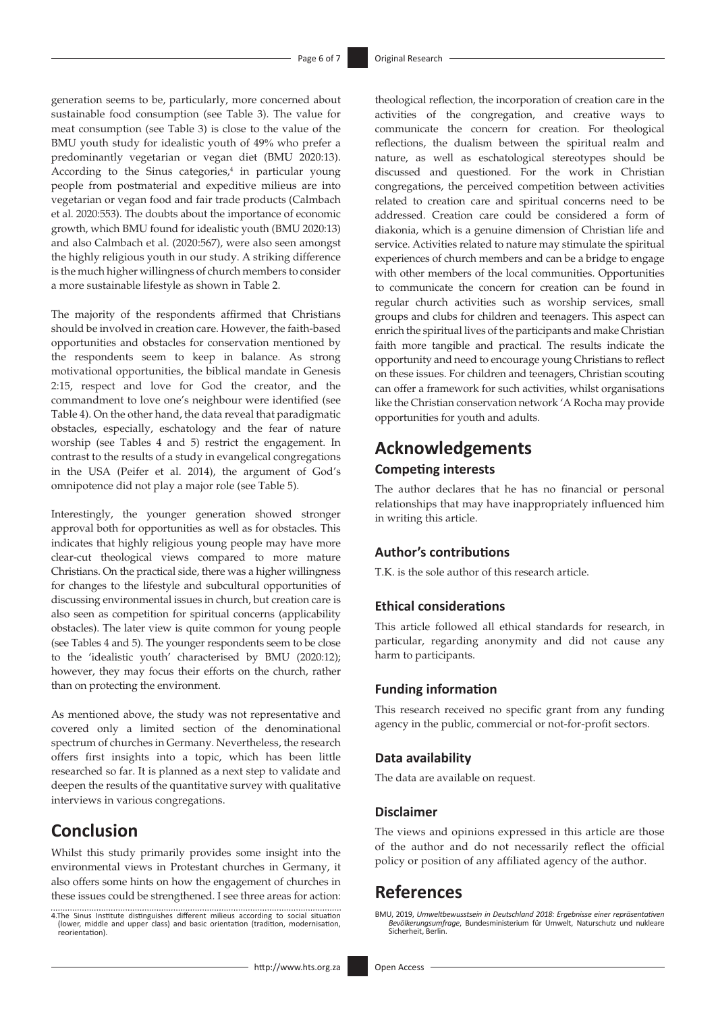generation seems to be, particularly, more concerned about sustainable food consumption (see Table 3). The value for meat consumption (see Table 3) is close to the value of the BMU youth study for idealistic youth of 49% who prefer a predominantly vegetarian or vegan diet (BMU 2020:13). According to the Sinus categories, $4$  in particular young people from postmaterial and expeditive milieus are into vegetarian or vegan food and fair trade products (Calmbach et al. 2020:553). The doubts about the importance of economic growth, which BMU found for idealistic youth (BMU 2020:13) and also Calmbach et al. (2020:567), were also seen amongst the highly religious youth in our study. A striking difference is the much higher willingness of church members to consider a more sustainable lifestyle as shown in Table 2.

The majority of the respondents affirmed that Christians should be involved in creation care. However, the faith-based opportunities and obstacles for conservation mentioned by the respondents seem to keep in balance. As strong motivational opportunities, the biblical mandate in Genesis 2:15, respect and love for God the creator, and the commandment to love one's neighbour were identified (see Table 4). On the other hand, the data reveal that paradigmatic obstacles, especially, eschatology and the fear of nature worship (see Tables 4 and 5) restrict the engagement. In contrast to the results of a study in evangelical congregations in the USA (Peifer et al. 2014), the argument of God's omnipotence did not play a major role (see Table 5).

Interestingly, the younger generation showed stronger approval both for opportunities as well as for obstacles. This indicates that highly religious young people may have more clear-cut theological views compared to more mature Christians. On the practical side, there was a higher willingness for changes to the lifestyle and subcultural opportunities of discussing environmental issues in church, but creation care is also seen as competition for spiritual concerns (applicability obstacles). The later view is quite common for young people (see Tables 4 and 5). The younger respondents seem to be close to the 'idealistic youth' characterised by BMU (2020:12); however, they may focus their efforts on the church, rather than on protecting the environment.

As mentioned above, the study was not representative and covered only a limited section of the denominational spectrum of churches in Germany. Nevertheless, the research offers first insights into a topic, which has been little researched so far. It is planned as a next step to validate and deepen the results of the quantitative survey with qualitative interviews in various congregations.

# **Conclusion**

Whilst this study primarily provides some insight into the environmental views in Protestant churches in Germany, it also offers some hints on how the engagement of churches in these issues could be strengthened. I see three areas for action: theological reflection, the incorporation of creation care in the activities of the congregation, and creative ways to communicate the concern for creation. For theological reflections, the dualism between the spiritual realm and nature, as well as eschatological stereotypes should be discussed and questioned. For the work in Christian congregations, the perceived competition between activities related to creation care and spiritual concerns need to be addressed. Creation care could be considered a form of diakonia, which is a genuine dimension of Christian life and service. Activities related to nature may stimulate the spiritual experiences of church members and can be a bridge to engage with other members of the local communities. Opportunities to communicate the concern for creation can be found in regular church activities such as worship services, small groups and clubs for children and teenagers. This aspect can enrich the spiritual lives of the participants and make Christian faith more tangible and practical. The results indicate the opportunity and need to encourage young Christians to reflect on these issues. For children and teenagers, Christian scouting can offer a framework for such activities, whilst organisations like the Christian conservation network 'A Rocha may provide opportunities for youth and adults.

# **Acknowledgements Competing interests**

The author declares that he has no financial or personal relationships that may have inappropriately influenced him in writing this article.

#### **Author's contributions**

T.K. is the sole author of this research article.

#### **Ethical considerations**

This article followed all ethical standards for research, in particular, regarding anonymity and did not cause any harm to participants.

#### **Funding information**

This research received no specific grant from any funding agency in the public, commercial or not-for-profit sectors.

#### **Data availability**

The data are available on request.

#### **Disclaimer**

The views and opinions expressed in this article are those of the author and do not necessarily reflect the official policy or position of any affiliated agency of the author.

# **References**

<sup>4.</sup>The Sinus Institute distinguishes different milieus according to social situation (lower, middle and upper class) and basic orientation (tradition, modernisation, reorientation).

BMU, 2019, *Umweltbewusstsein in Deutschland 2018: Ergebnisse einer repräsentativen*  Bevölkerungsumfrage, Bundesministerium für Umwelt, Naturschutz und nukleare Sicherheit, Berlin.